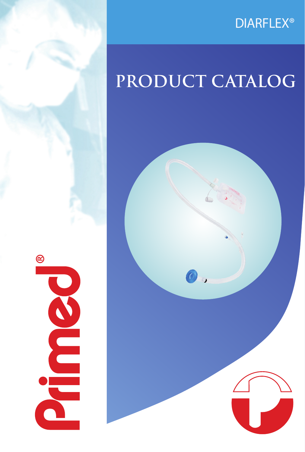## DIARFLEX®

# **PRODUCT CATALOG**



 $\circledR$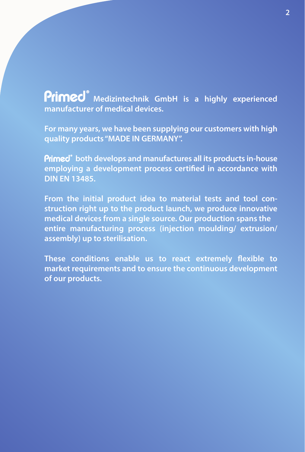**Primed**<sup>®</sup> Medizintechnik GmbH is a highly experienced **manufacturer of medical devices.**

**For many years, we have been supplying our customers with high quality products "MADE IN GERMANY".**

**Primed**<sup>*b*</sup> both develops and manufactures all its products in-house employing a development process certified in accordance with **DIN EN 13485.**

**From the initial product idea to material tests and tool construction right up to the product launch, we produce innovative medical devices from a single source. Our production spans the entire manufacturing process (injection moulding/ extrusion/ assembly) up to sterilisation.**

These conditions enable us to react extremely flexible to **market requirements and to ensure the continuous development of our products.**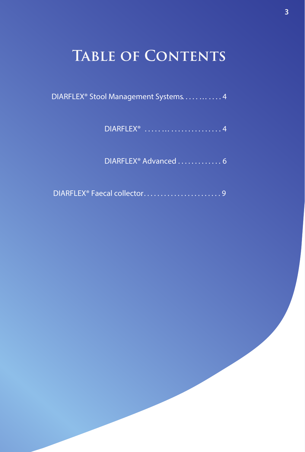## **TABLE OF CONTENTS**

- DIARFLEX® Stool Management Systems............ 4
	- DIARFLEX® . .... … . ............ . . 4
	- DIARFLEX® Advanced ............. 6
- DIARFLEX<sup>®</sup> Faecal collector................................9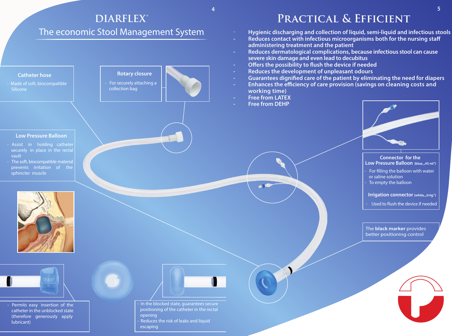## **Practical & Efficient**

- - **Hygienic discharging and collection of liquid, semi-liquid and infectious stools**
- **Reduces contact with infectious microorganisms both for the nursing staff administering treatment and the patient**
- **Reduces dermatological complications, because infectious stool can cause severe skin damage and even lead to decubitus**
- **Offers the possibility to flush the device if needed**
- **Reduces the development of unpleasant odours**
- **Guarantees dignified care of the patient by eliminating the need for diapers Enhances the efficiency of care provision (savings on cleaning costs and**
- **working time)**
- **Free from LATEX**
- **Free from DEHP**





- Assist in holding catheter securely in place in the rectal vault
- The soft, biocompatible material prevents irritation of the sphincter muscle

In the blocked state, guarantees secure positioning of the catheter in the rectal opening Reduces the risk of leaks and liquid escaping

Ī

Permits easy insertion of the catheter in the unblocked state (therefore generously apply lubricant)



Ī





### **Catheter hose**

Made of soft, biocompatible **Silicone** 



- For securely attaching a collection bag



### **Low Pressure Balloon**

## **DIARFLEX®**

## The economic Stool Management System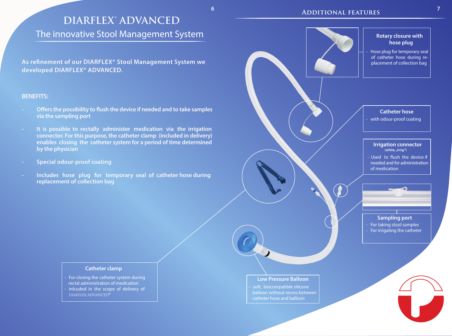soft, biocompatible silicone balloon without recess between catheter hose and balloon

### **Irrigation connector**  (white, "Irrig.")

- Used to flush the device if needed and for administration of medication

Hose plug for temporary seal of catheter hose during re placement of collection bag

### **Catheter hose**

with odour-proof coating

## **Rotary closure with hose plug**

As refinement of our DIARFLEX® Stool Management System we  **developed DIARFLEX® ADVANCED.**

### **Low Pressure Balloon**

## **Sampling port**

l

- For taking stool samples - For irrigating the catheter



## **DIARFLEX® ADVANCED**

## The innovative Stool Management System

- **Offers the possibility to flush the device if needed and to take samples via the sampling port**
- **It is possible to rectally administer medication via the irrigation connector. For this purpose, the catheter clamp (included in delivery) enables closing the catheter system for a period of time determined by the physician**
- **Special odour-proof coating**
- Includes hose plug for temporary seal of catheter hose during  **replacement of collection bag**

### **BENEFITS:**

### **Catheter clamp**

- For closing the catheter system during rectal administration of medication
- inlcuded in the scope of delivery of DIARFLEX ADVANCED®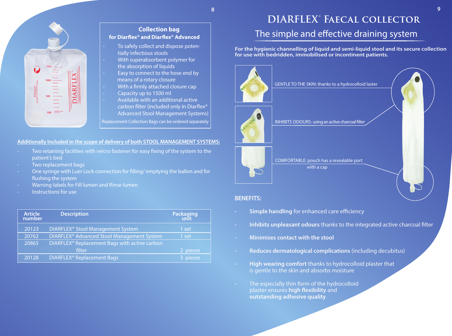## **BENEFITS:**

- **Simple handling** for enhanced care efficiency
- **Inhibits unpleasant odours** thanks to the integrated active charcoal filter
- **Minimises contact with the stool**
- **Reduces dermatological complications** (including decubitus)
- **High wearing comfort** thanks to hydrocolloid plaster that is gentle to the skin and absorbs moisture
- The especially thin form of the hydrocolloid plaster ensures **high flexibility** and  **outstanding adhesive quality**

## **DIARFLEX® Faecal collector** The simple and effective draining system

| <b>Article</b><br>number | <b>Description</b>                                        | Packaging<br>unit |
|--------------------------|-----------------------------------------------------------|-------------------|
| 20123                    | DIARFLEX <sup>®</sup> Stool Management System             | 1 set             |
| 20762                    | DIARFLEX <sup>®</sup> Advanced Stool Management System    | 1 set             |
| 20865                    | DIARFLEX <sup>®</sup> Replacement Bags with active carbon |                   |
|                          | filter                                                    | 2 pieces          |
| 20128                    | <b>DIARFLEX<sup>®</sup> Replacement Bags</b>              | 3 pieces          |

**8**



**For the hygienic channelling of liquid and semi-liquid stool and its secure collection for use with bedridden, immobilised or incontinent patients.**



COMFORTABLE: pouch has a resealable port with a cap

GENTLE TO THE SKIN: thanks to a hydrocolloid laster



INHIBITS ODOURS: using an active charcoal filter





## **Collection bag** for Diarflex<sup>®</sup> and Diarflex<sup>®</sup> Advanced To safely collect and dispose poten tially infectious stools With superabsorbent polymer for the absorption of liquids Easy to connect to the hose end by means of a rotary closure With a firmly attached closure cap - Capacity up to 1500 ml - Available with an additional active carbon filter (included only in Diarflex<sup>®</sup> Advanced Stool Management Systems) Replacement Collection Bags can be ordered separately

## **Additionally Included in the scope of delivery of both STOOL MANAGEMENT SYSTEMS:**

- Two retaining facilities with velcro fastener for easy fixing of the system to the patient's bed
- Two replacement bags
- One syringe with Luer Lock connection for filling/ emptying the ballon and for flushing the system
- Warning labels for Fill lumen and Rinse lumen
- Instructions for use

**9**